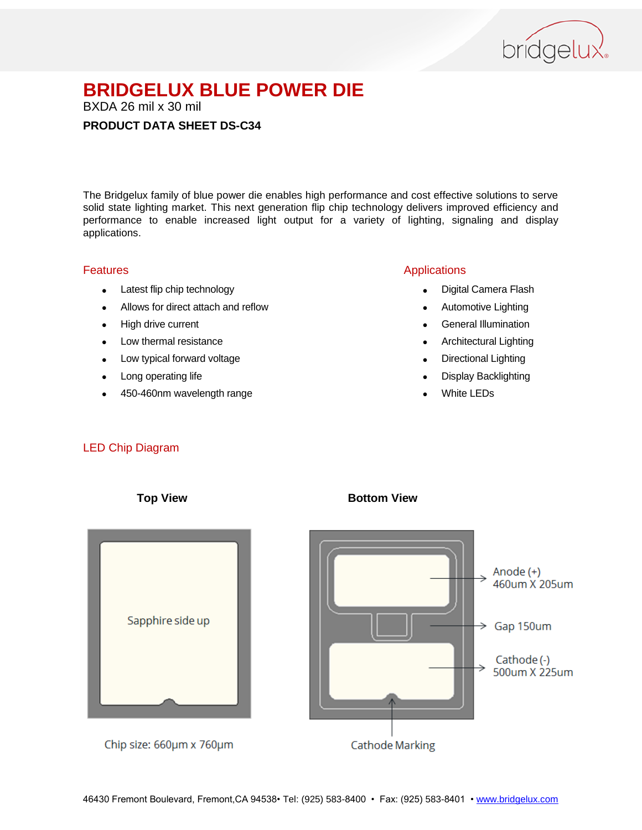

BXDA 26 mil x 30 mil

### **PRODUCT DATA SHEET DS-C34**

The Bridgelux family of blue power die enables high performance and cost effective solutions to serve solid state lighting market. This next generation flip chip technology delivers improved efficiency and performance to enable increased light output for a variety of lighting, signaling and display applications.

### Features

- Latest flip chip technology
- Allows for direct attach and reflow
- High drive current
- Low thermal resistance
- Low typical forward voltage
- Long operating life
- 450-460nm wavelength range

### Applications

- Digital Camera Flash
- Automotive Lighting
- **•** General Illumination
- Architectural Lighting
- Directional Lighting
- Display Backlighting
- White LEDs

### LED Chip Diagram



**Top View Bottom View**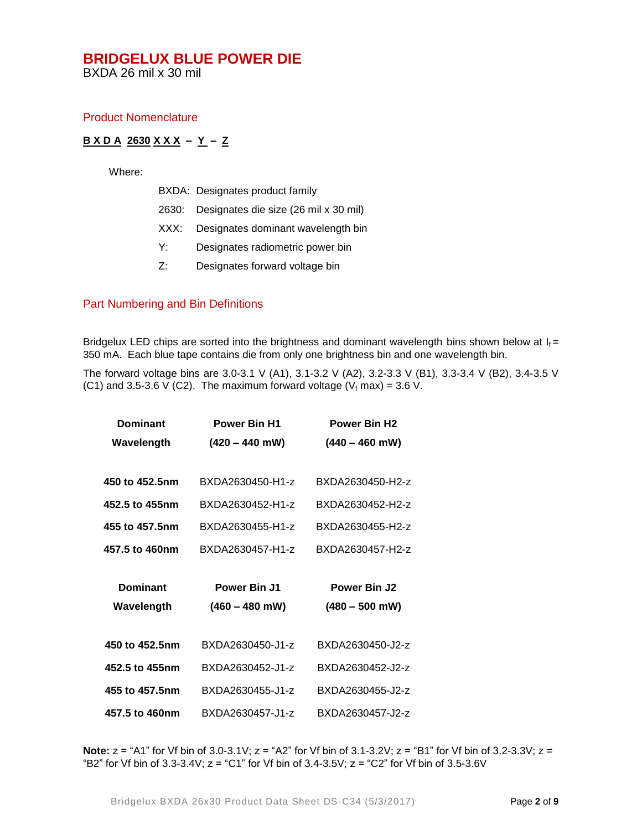BXDA 26 mil x 30 mil

### Product Nomenclature

### **B X D A 2630 X X X – Y – Z**

Where:

|  |  | BXDA: Designates product family |
|--|--|---------------------------------|
|--|--|---------------------------------|

- 2630: Designates die size (26 mil x 30 mil)
- XXX: Designates dominant wavelength bin
- Y: Designates radiometric power bin
- Z: Designates forward voltage bin

### Part Numbering and Bin Definitions

Bridgelux LED chips are sorted into the brightness and dominant wavelength bins shown below at  $I_f =$ 350 mA. Each blue tape contains die from only one brightness bin and one wavelength bin.

The forward voltage bins are 3.0-3.1 V (A1), 3.1-3.2 V (A2), 3.2-3.3 V (B1), 3.3-3.4 V (B2), 3.4-3.5 V (C1) and 3.5-3.6 V (C2). The maximum forward voltage ( $V_f$  max) = 3.6 V.

| <b>Dominant</b> | <b>Power Bin H1</b> | <b>Power Bin H2</b> |  |
|-----------------|---------------------|---------------------|--|
| Wavelength      | $(420 - 440$ mW)    | $(440 - 460$ mW)    |  |
|                 |                     |                     |  |
| 450 to 452.5nm  | BXDA2630450-H1-z    | BXDA2630450-H2-z    |  |
| 452.5 to 455nm  | BXDA2630452-H1-z    | BXDA2630452-H2-z    |  |
| 455 to 457.5nm  | BXDA2630455-H1-z    | BXDA2630455-H2-z    |  |
| 457.5 to 460nm  | BXDA2630457-H1-z    | BXDA2630457-H2-z    |  |
|                 |                     |                     |  |
|                 |                     |                     |  |
| <b>Dominant</b> | <b>Power Bin J1</b> | <b>Power Bin J2</b> |  |
| Wavelength      | $(460 - 480$ mW)    | $(480 - 500$ mW)    |  |
|                 |                     |                     |  |
| 450 to 452.5nm  | BXDA2630450-J1-z    | BXDA2630450-J2-z    |  |
| 452.5 to 455nm  | BXDA2630452-J1-z    | BXDA2630452-J2-z    |  |
| 455 to 457.5nm  | BXDA2630455-J1-z    | BXDA2630455-J2-z    |  |

**Note:**  $z = "A1"$  for Vf bin of 3.0-3.1V;  $z = "A2"$  for Vf bin of 3.1-3.2V;  $z = "B1"$  for Vf bin of 3.2-3.3V;  $z =$ "B2" for Vf bin of  $3.3-3.4V$ ;  $z =$  "C1" for Vf bin of  $3.4-3.5V$ ;  $z =$  "C2" for Vf bin of  $3.5-3.6V$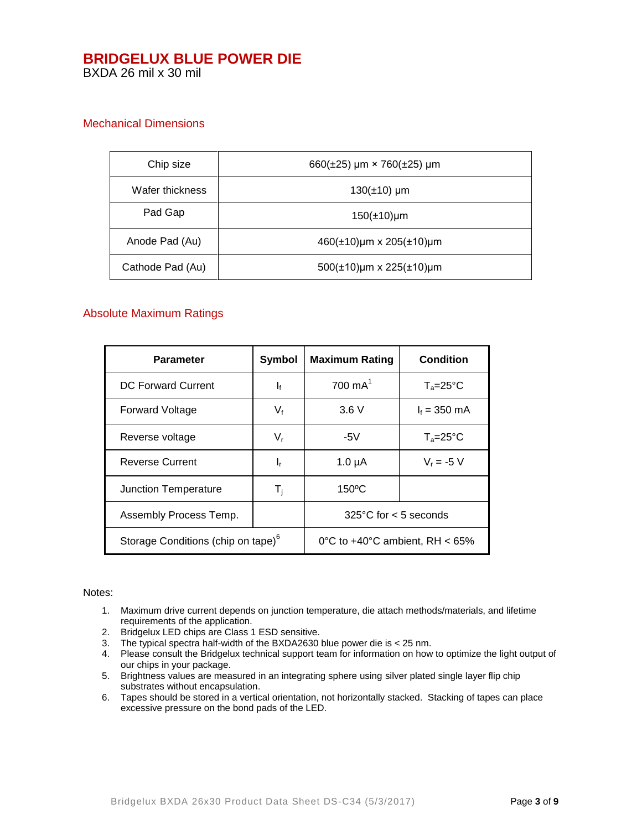BXDA 26 mil x 30 mil

### Mechanical Dimensions

| Chip size        | 660( $\pm$ 25) µm × 760( $\pm$ 25) µm      |  |
|------------------|--------------------------------------------|--|
| Wafer thickness  | $130(\pm 10)$ µm                           |  |
| Pad Gap          | $150(\pm 10)$ µm                           |  |
| Anode Pad (Au)   | $460(\pm 10)$ µm x 205( $\pm 10$ )µm       |  |
| Cathode Pad (Au) | $500(\pm 10)\mu m \times 225(\pm 10)\mu m$ |  |

### Absolute Maximum Ratings

| Parameter                                      | Symbol                    | <b>Maximum Rating</b>                    | <b>Condition</b>    |
|------------------------------------------------|---------------------------|------------------------------------------|---------------------|
| <b>DC Forward Current</b>                      | $\mathbf{I}_{\mathbf{f}}$ | $700 \text{ mA}^1$                       | $T_a = 25^{\circ}C$ |
| <b>Forward Voltage</b>                         | $V_{f}$                   | 3.6V                                     | $I_f = 350$ mA      |
| Reverse voltage                                | $V_{r}$                   | -5V                                      | $T_a = 25^{\circ}C$ |
| <b>Reverse Current</b>                         | ı,                        | $1.0 \mu A$                              | $V_r = -5 V$        |
| Junction Temperature                           | T <sub>i</sub>            | 150°C                                    |                     |
| Assembly Process Temp.                         |                           | $325^{\circ}$ C for < 5 seconds          |                     |
| Storage Conditions (chip on tape) <sup>6</sup> |                           | 0°C to $+40^{\circ}$ C ambient. RH < 65% |                     |

#### Notes:

- 1. Maximum drive current depends on junction temperature, die attach methods/materials, and lifetime requirements of the application.
- 2. Bridgelux LED chips are Class 1 ESD sensitive.
- 3. The typical spectra half-width of the BXDA2630 blue power die is < 25 nm.
- 4. Please consult the Bridgelux technical support team for information on how to optimize the light output of our chips in your package.
- 5. Brightness values are measured in an integrating sphere using silver plated single layer flip chip substrates without encapsulation.
- 6. Tapes should be stored in a vertical orientation, not horizontally stacked. Stacking of tapes can place excessive pressure on the bond pads of the LED.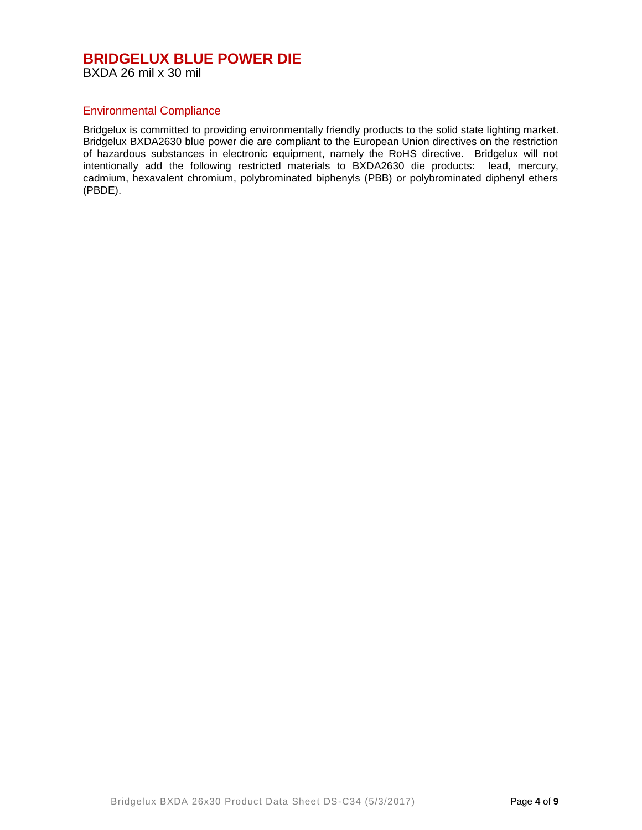BXDA 26 mil x 30 mil

### Environmental Compliance

Bridgelux is committed to providing environmentally friendly products to the solid state lighting market. Bridgelux BXDA2630 blue power die are compliant to the European Union directives on the restriction of hazardous substances in electronic equipment, namely the RoHS directive. Bridgelux will not intentionally add the following restricted materials to BXDA2630 die products: lead, mercury, cadmium, hexavalent chromium, polybrominated biphenyls (PBB) or polybrominated diphenyl ethers (PBDE).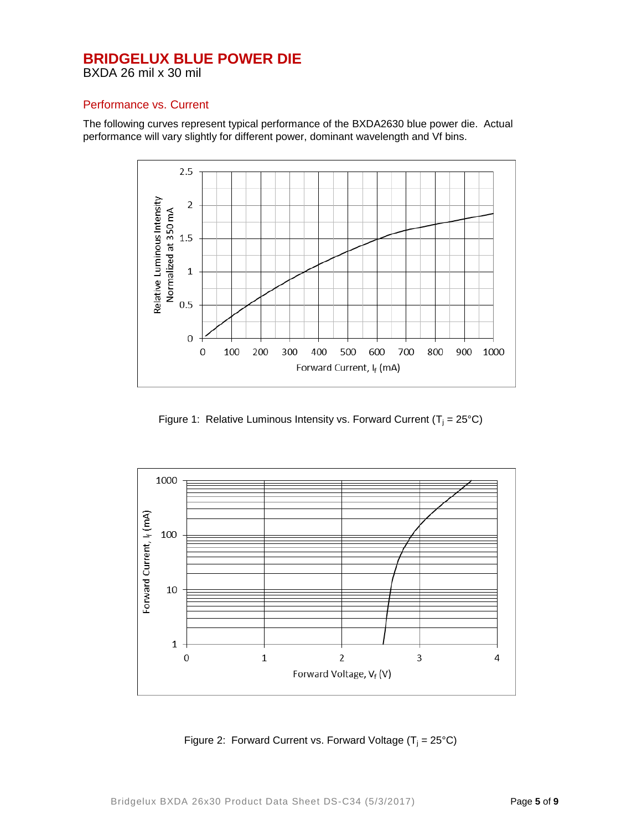BXDA 26 mil x 30 mil

### Performance vs. Current

The following curves represent typical performance of the BXDA2630 blue power die. Actual performance will vary slightly for different power, dominant wavelength and Vf bins.



Figure 1: Relative Luminous Intensity vs. Forward Current ( $T_i = 25^{\circ}C$ )



Figure 2: Forward Current vs. Forward Voltage  $(T_i = 25^{\circ}C)$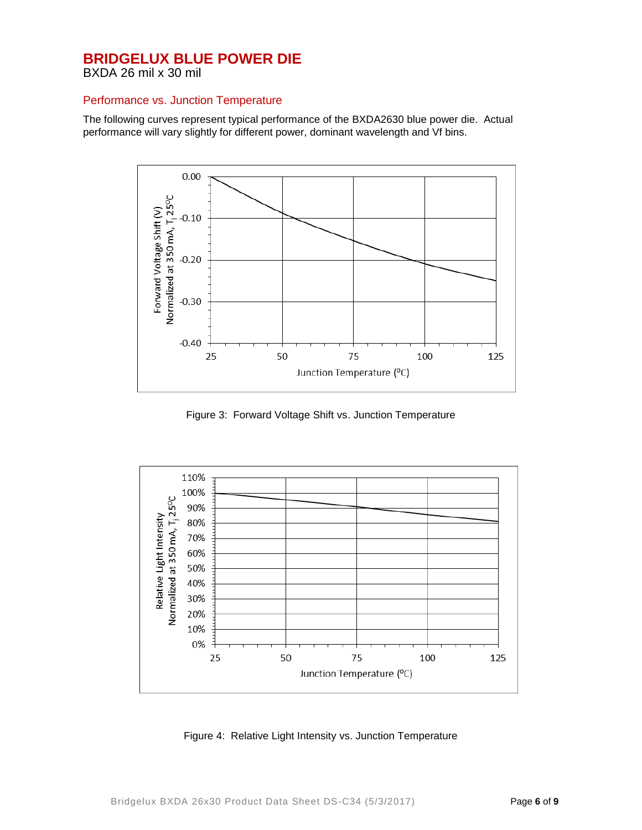BXDA 26 mil x 30 mil

### Performance vs. Junction Temperature

The following curves represent typical performance of the BXDA2630 blue power die. Actual performance will vary slightly for different power, dominant wavelength and Vf bins.



Figure 3: Forward Voltage Shift vs. Junction Temperature



Figure 4: Relative Light Intensity vs. Junction Temperature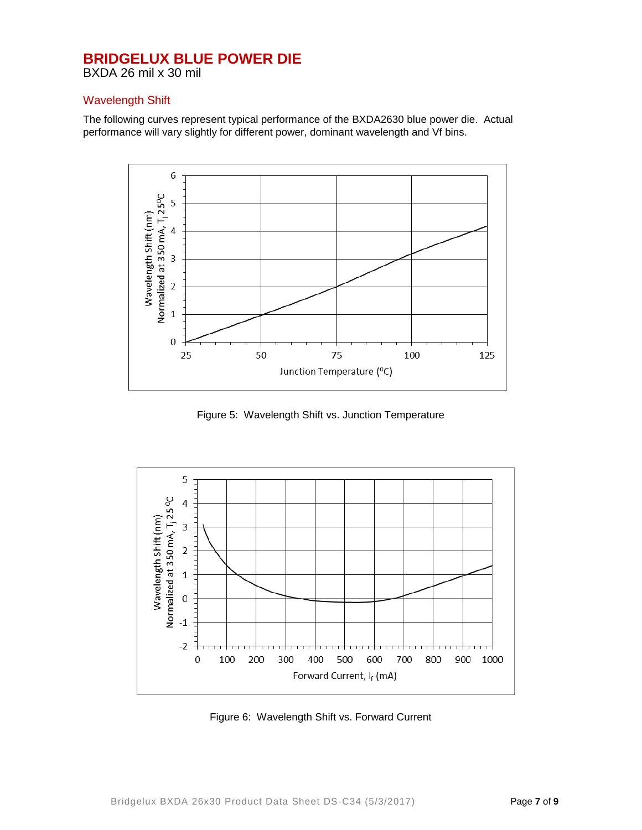BXDA 26 mil x 30 mil

### Wavelength Shift

The following curves represent typical performance of the BXDA2630 blue power die. Actual performance will vary slightly for different power, dominant wavelength and Vf bins.



Figure 5: Wavelength Shift vs. Junction Temperature



Figure 6: Wavelength Shift vs. Forward Current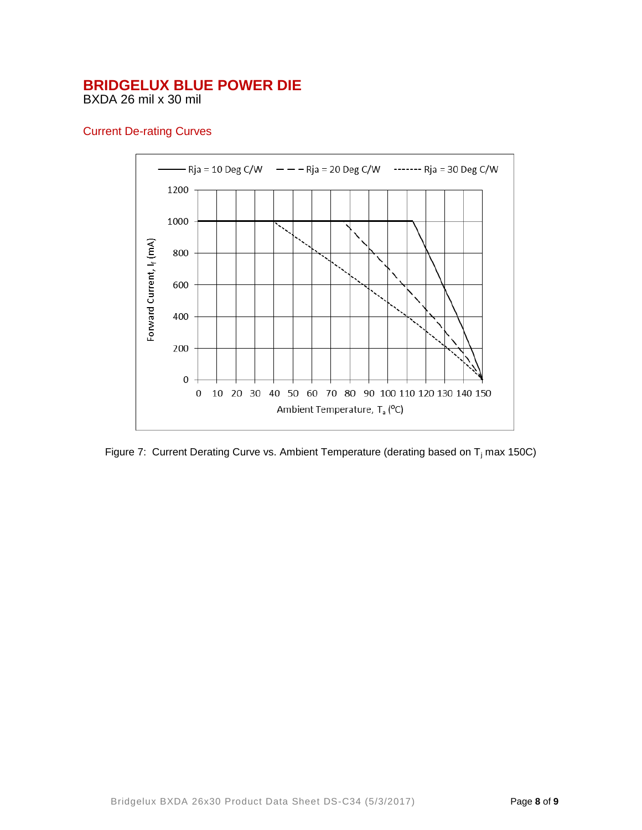BXDA 26 mil x 30 mil

### Current De-rating Curves



Figure 7: Current Derating Curve vs. Ambient Temperature (derating based on  $T_i$  max 150C)